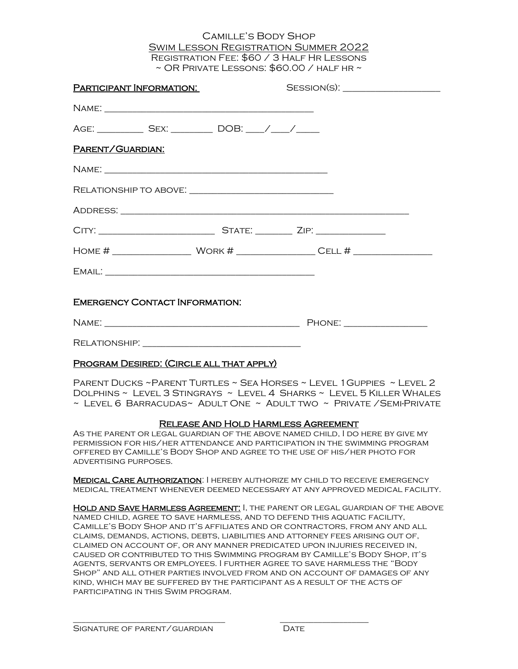## Camille's Body Shop Swim Lesson Registration Summer 2022 Registration Fee: \$60 / 3 Half Hr Lessons  $\sim$  OR PRIVATE LESSONS:  $$60.00$  / HALF HR  $\sim$

| PARTICIPANT INFORMATION:                                        |  | SESSION(S): |  |
|-----------------------------------------------------------------|--|-------------|--|
|                                                                 |  |             |  |
| AGE: ______________ SEX: ____________ DOB: _____/ _____/ ______ |  |             |  |
| PARENT/GUARDIAN:                                                |  |             |  |
|                                                                 |  |             |  |
|                                                                 |  |             |  |
|                                                                 |  |             |  |
|                                                                 |  |             |  |
|                                                                 |  |             |  |
|                                                                 |  |             |  |
| <b>EMERGENCY CONTACT INFORMATION:</b>                           |  |             |  |
|                                                                 |  |             |  |
|                                                                 |  |             |  |
| PROGRAM DESIRED: (CIRCLE ALL THAT APPLY)                        |  |             |  |

Parent Ducks ~Parent Turtles ~ Sea Horses ~ Level 1Guppies ~ Level 2 Dolphins ~ Level 3 Stingrays ~ Level 4 Sharks ~ Level 5 Killer Whales  $\sim$  Level 6 Barracudas $\sim$  Adult One  $\sim$  Adult two  $\sim$  Private /Semi-Private

## Release And Hold Harmless Agreement

As the parent or legal guardian of the above named child, I do here by give my permission for his/her attendance and participation in the swimming program offered by Camille's Body Shop and agree to the use of his/her photo for advertising purposes.

**MEDICAL CARE AUTHORIZATION: I HEREBY AUTHORIZE MY CHILD TO RECEIVE EMERGENCY** medical treatment whenever deemed necessary at any approved medical facility.

Hold and Save Harmless Agreement: I, the parent or legal guardian of the above named child, agree to save harmless, and to defend this aquatic facility, Camille's Body Shop and it's affiliates and or contractors, from any and all claims, demands, actions, debts, liabilities and attorney fees arising out of, claimed on account of, or any manner predicated upon injuries received in, caused or contributed to this Swimming program by Camille's Body Shop, it's agents, servants or employees. I further agree to save harmless the "Body Shop" and all other parties involved from and on account of damages of any kind, which may be suffered by the participant as a result of the acts of participating in this Swim program.